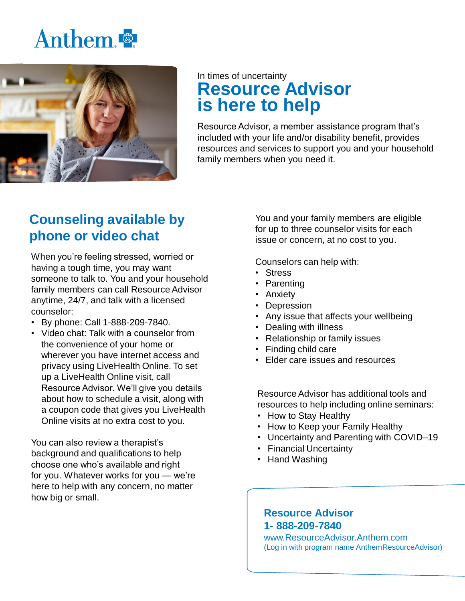## Anthem.



### In times of uncertainty **Resource Advisor is here to help**

Resource Advisor, a member assistance program that's included with your life and/or disability benefit, provides resources and services to support you and your household family members when you need it.

## **Counseling available by phone or video chat**

When you're feeling stressed, worried or having a tough time, you may want someone to talk to. You and your household family members can call Resource Advisor anytime, 24/7, and talk with a licensed counselor:

- By phone: Call 1-888-209-7840.
- Video chat: Talk with a counselor from the convenience of your home or wherever you have internet access and privacy using LiveHealth Online. To set up a LiveHealth Online visit, call Resource Advisor. We'll give you details about how to schedule a visit, along with a coupon code that gives you LiveHealth Online visits at no extra cost to you.

You can also review a therapist's background and qualifications to help choose one who's available and right for you. Whatever works for you — we're here to help with any concern, no matter how big or small.

You and your family members are eligible for up to three counselor visits for each issue or concern, at no cost to you.

Counselors can help with:

- Stress
- Parenting
- Anxiety
- Depression
- Any issue that affects your wellbeing
- Dealing with illness
- Relationship or family issues
- Finding child care
- Elder care issues and resources

Resource Advisor has additional tools and resources to help including online seminars:

- How to Stay Healthy
- How to Keep your Family Healthy
- Uncertainty and Parenting with COVID–19
- Financial Uncertainty
- Hand Washing

#### **Resource Advisor 1- 888-209-7840**

www.ResourceAdvisor.Anthem.com (Log in with program name AnthemResourceAdvisor)